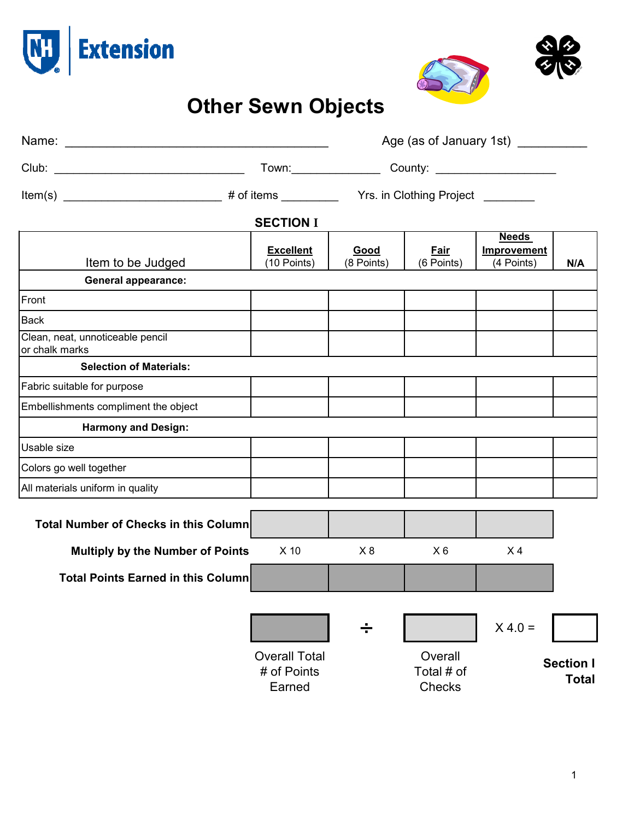



## **Other Sewn Objects**

|                                                    |                                               |                                                                                                                                                                                                                               | Age (as of January 1st) ______   |                                           |                                  |  |  |  |  |
|----------------------------------------------------|-----------------------------------------------|-------------------------------------------------------------------------------------------------------------------------------------------------------------------------------------------------------------------------------|----------------------------------|-------------------------------------------|----------------------------------|--|--|--|--|
|                                                    |                                               | Town: County: 2000 County: 2000 County: 2000 County: 2000 County: 2000 County: 2000 County: 2000 County: 2000 County: 2000 County: 2000 County: 2000 County: 2000 County: 2000 County: 2000 County: 2000 County: 2000 County: |                                  |                                           |                                  |  |  |  |  |
|                                                    |                                               |                                                                                                                                                                                                                               | Yrs. in Clothing Project _______ |                                           |                                  |  |  |  |  |
| <b>SECTION I</b>                                   |                                               |                                                                                                                                                                                                                               |                                  |                                           |                                  |  |  |  |  |
| Item to be Judged                                  | <b>Excellent</b><br>(10 Points)               | Good<br>(8 Points)                                                                                                                                                                                                            | Fair<br>(6 Points)               | <b>Needs</b><br>Improvement<br>(4 Points) | N/A                              |  |  |  |  |
| <b>General appearance:</b>                         |                                               |                                                                                                                                                                                                                               |                                  |                                           |                                  |  |  |  |  |
| Front                                              |                                               |                                                                                                                                                                                                                               |                                  |                                           |                                  |  |  |  |  |
| <b>Back</b>                                        |                                               |                                                                                                                                                                                                                               |                                  |                                           |                                  |  |  |  |  |
| Clean, neat, unnoticeable pencil<br>or chalk marks |                                               |                                                                                                                                                                                                                               |                                  |                                           |                                  |  |  |  |  |
| <b>Selection of Materials:</b>                     |                                               |                                                                                                                                                                                                                               |                                  |                                           |                                  |  |  |  |  |
| Fabric suitable for purpose                        |                                               |                                                                                                                                                                                                                               |                                  |                                           |                                  |  |  |  |  |
| Embellishments compliment the object               |                                               |                                                                                                                                                                                                                               |                                  |                                           |                                  |  |  |  |  |
| <b>Harmony and Design:</b>                         |                                               |                                                                                                                                                                                                                               |                                  |                                           |                                  |  |  |  |  |
| <b>Usable size</b>                                 |                                               |                                                                                                                                                                                                                               |                                  |                                           |                                  |  |  |  |  |
| Colors go well together                            |                                               |                                                                                                                                                                                                                               |                                  |                                           |                                  |  |  |  |  |
| All materials uniform in quality                   |                                               |                                                                                                                                                                                                                               |                                  |                                           |                                  |  |  |  |  |
| <b>Total Number of Checks in this Column</b>       |                                               |                                                                                                                                                                                                                               |                                  |                                           |                                  |  |  |  |  |
| <b>Multiply by the Number of Points</b>            | $X$ 10                                        | X8                                                                                                                                                                                                                            | $X_6$                            | X <sub>4</sub>                            |                                  |  |  |  |  |
| <b>Total Points Earned in this Column</b>          |                                               |                                                                                                                                                                                                                               |                                  |                                           |                                  |  |  |  |  |
|                                                    |                                               |                                                                                                                                                                                                                               |                                  |                                           |                                  |  |  |  |  |
|                                                    |                                               | ÷                                                                                                                                                                                                                             |                                  | $X 4.0 =$                                 |                                  |  |  |  |  |
|                                                    | <b>Overall Total</b><br># of Points<br>Earned |                                                                                                                                                                                                                               | Overall<br>Total # of<br>Checks  |                                           | <b>Section I</b><br><b>Total</b> |  |  |  |  |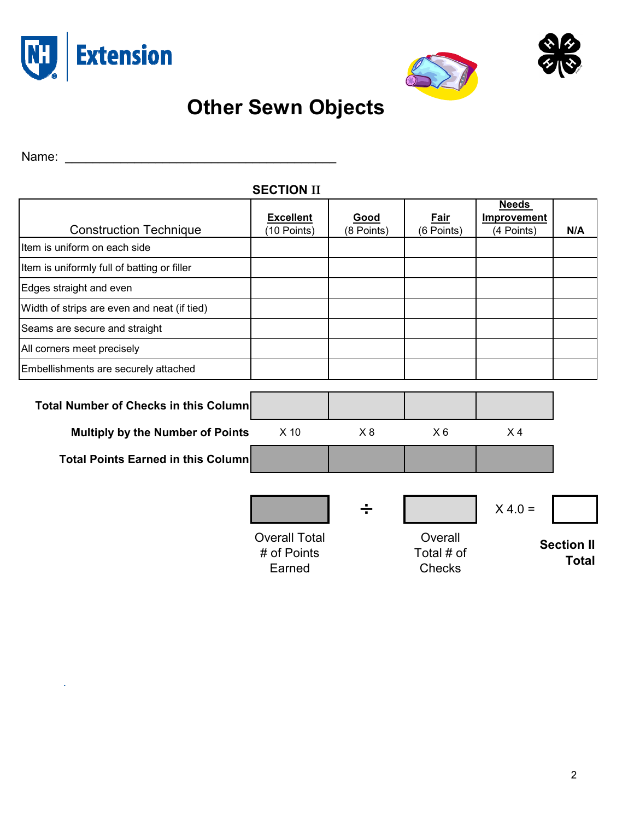



## **Other Sewn Objects**

Name: \_\_\_\_\_\_\_\_\_\_\_\_\_\_\_\_\_\_\_\_\_\_\_\_\_\_\_\_\_\_\_\_\_\_\_\_\_\_\_

 $\omega$ 

| <b>SECTION II</b>                            |                                               |                    |                                        |                                           |                                   |  |  |  |  |
|----------------------------------------------|-----------------------------------------------|--------------------|----------------------------------------|-------------------------------------------|-----------------------------------|--|--|--|--|
| <b>Construction Technique</b>                | <b>Excellent</b><br>(10 Points)               | Good<br>(8 Points) | Fair<br>(6 Points)                     | <b>Needs</b><br>Improvement<br>(4 Points) | N/A                               |  |  |  |  |
| Item is uniform on each side                 |                                               |                    |                                        |                                           |                                   |  |  |  |  |
| Item is uniformly full of batting or filler  |                                               |                    |                                        |                                           |                                   |  |  |  |  |
| Edges straight and even                      |                                               |                    |                                        |                                           |                                   |  |  |  |  |
| Width of strips are even and neat (if tied)  |                                               |                    |                                        |                                           |                                   |  |  |  |  |
| Seams are secure and straight                |                                               |                    |                                        |                                           |                                   |  |  |  |  |
| All corners meet precisely                   |                                               |                    |                                        |                                           |                                   |  |  |  |  |
| Embellishments are securely attached         |                                               |                    |                                        |                                           |                                   |  |  |  |  |
| <b>Total Number of Checks in this Column</b> |                                               |                    |                                        |                                           |                                   |  |  |  |  |
| <b>Multiply by the Number of Points</b>      | $X$ 10                                        | X8                 | $X_6$                                  | X <sub>4</sub>                            |                                   |  |  |  |  |
| <b>Total Points Earned in this Column</b>    |                                               |                    |                                        |                                           |                                   |  |  |  |  |
|                                              |                                               | ÷                  |                                        | $X 4.0 =$                                 |                                   |  |  |  |  |
|                                              | <b>Overall Total</b><br># of Points<br>Earned |                    | Overall<br>Total # of<br><b>Checks</b> |                                           | <b>Section II</b><br><b>Total</b> |  |  |  |  |